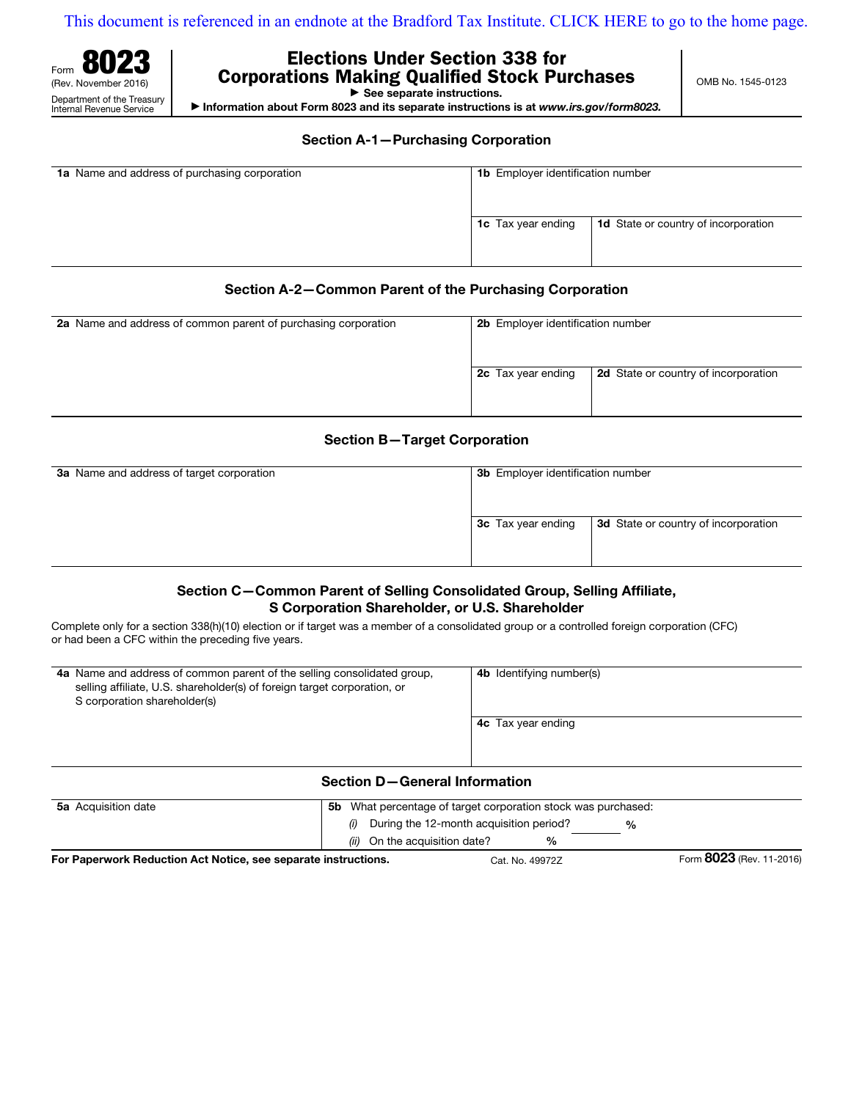[This document is referenced in an endnote at the Bradford Tax Institute. CLICK HERE to go to the home page.](www.bradfordtaxinstitute.com)

OMB No. 1545-0123



# Elections Under Section 338 for Corporations Making Qualified Stock Purchases

 $\triangleright$  See separate instructions.

a Information about Form 8023 and its separate instructions is at *www.irs.gov/form8023.*

Section A-1—Purchasing Corporation

| 1a Name and address of purchasing corporation | <b>1b</b> Employer identification number |                           |                                             |
|-----------------------------------------------|------------------------------------------|---------------------------|---------------------------------------------|
|                                               |                                          | <b>1c</b> Tax year ending | <b>1d</b> State or country of incorporation |

## Section A-2—Common Parent of the Purchasing Corporation

| 2a Name and address of common parent of purchasing corporation | 2b Employer identification number                                 |
|----------------------------------------------------------------|-------------------------------------------------------------------|
|                                                                | <b>2c</b> Tax year ending<br>2d State or country of incorporation |

# Section B—Target Corporation

| <b>3a</b> Name and address of target corporation | 3b Employer identification number |                                      |
|--------------------------------------------------|-----------------------------------|--------------------------------------|
|                                                  | 3c Tax year ending                | 3d State or country of incorporation |

# Section C—Common Parent of Selling Consolidated Group, Selling Affiliate, S Corporation Shareholder, or U.S. Shareholder

Complete only for a section 338(h)(10) election or if target was a member of a consolidated group or a controlled foreign corporation (CFC) or had been a CFC within the preceding five years.

| 4a Name and address of common parent of the selling consolidated group,<br>selling affiliate, U.S. shareholder(s) of foreign target corporation, or<br>S corporation shareholder(s) | <b>4b</b> Identifying number(s) |
|-------------------------------------------------------------------------------------------------------------------------------------------------------------------------------------|---------------------------------|
|                                                                                                                                                                                     | <b>4c</b> Tax year ending       |
|                                                                                                                                                                                     |                                 |
| <b>Section D-General Information</b>                                                                                                                                                |                                 |

## Section D—General Information

| <b>5a</b> Acquisition date                                     | 5b.                           | What percentage of target corporation stock was purchased: |               |                          |
|----------------------------------------------------------------|-------------------------------|------------------------------------------------------------|---------------|--------------------------|
|                                                                | (i)                           | During the 12-month acquisition period?                    | $\frac{6}{6}$ |                          |
|                                                                | (ii) On the acquisition date? | %                                                          |               |                          |
| For Paperwork Reduction Act Notice, see separate instructions. |                               | Cat. No. 49972Z                                            |               | Form 8023 (Rev. 11-2016) |